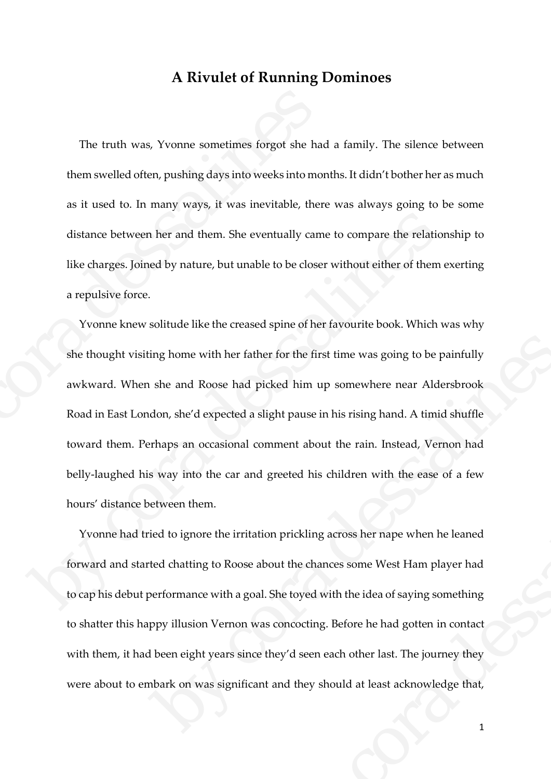## **A Rivulet of Running Dominoes**

The truth was, Yvonne sometimes forgot she had a family. The silence between them swelled often, pushing days into weeks into months. It didn't bother her as much as it used to. In many ways, it was inevitable, there was always going to be some distance between her and them. She eventually came to compare the relationship to like charges. Joined by nature, but unable to be closer without either of them exerting a repulsive force.

Yvonne knew solitude like the creased spine of her favourite book. Which was why she thought visiting home with her father for the first time was going to be painfully awkward. When she and Roose had picked him up somewhere near Aldersbrook Road in East London, she'd expected a slight pause in his rising hand. A timid shuffle toward them. Perhaps an occasional comment about the rain. Instead, Vernon had belly-laughed his way into the car and greeted his children with the ease of a few hours' distance between them. The truth was, Yvonne sometimes forgot she had<br>them swelled often, pushing days into weeks into mon<br>as it used to. In many ways, it was inevitable, there<br>distance between her and them. She eventually came<br>like charges. Joi distance between her and them. She eventually came to compare the relations<br>like charges. Joined by nature, but unable to be closer without either of them ex<br>a repulsive force.<br>Yvome knew solitude like the creased spine of ing home with her father for the first time was going to be painfully<br>she and Roose had picked him up somewhere near Aldersbrook<br>don, she'd expected a slight pause in his rising hand. A timid shuffle<br>whenps an occasional c

Yvonne had tried to ignore the irritation prickling across her nape when he leaned forward and started chatting to Roose about the chances some West Ham player had to cap his debut performance with a goal. She toyed with the idea of saying something to shatter this happy illusion Vernon was concocting. Before he had gotten in contact with them, it had been eight years since they'd seen each other last. The journey they were about to embark on was significant and they should at least acknowledge that, prected his children with the ease of a few<br>n prickling across her nape when he leaned<br>out the chances some West Ham player had<br>She toyed with the idea of saying something<br>concocting. Before he had gotten in contact<br>ney'd

1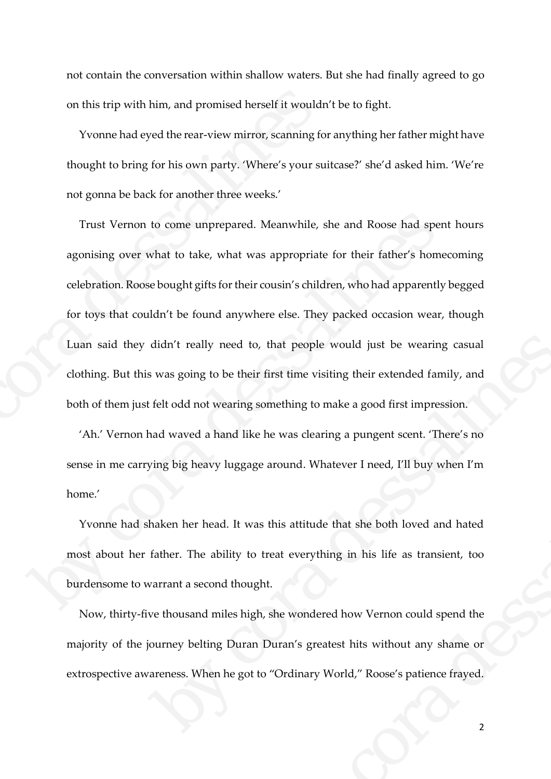not contain the conversation within shallow waters. But she had finally agreed to go on this trip with him, and promised herself it wouldn't be to fight.

Yvonne had eyed the rear-view mirror, scanning for anything her father might have thought to bring for his own party. 'Where's your suitcase?' she'd asked him. 'We're not gonna be back for another three weeks.'

Trust Vernon to come unprepared. Meanwhile, she and Roose had spent hours agonising over what to take, what was appropriate for their father's homecoming celebration. Roose bought gifts for their cousin's children, who had apparently begged for toys that couldn't be found anywhere else. They packed occasion wear, though Luan said they didn't really need to, that people would just be wearing casual clothing. But this was going to be their first time visiting their extended family, and both of them just felt odd not wearing something to make a good first impression. on this trip with him, and promised herself it wouldn'<br>Yvonne had eyed the rear-view mirror, scanning for<br>thought to bring for his own party. 'Where's your sui<br>not gonna be back for another three weeks.'<br>Trust Vernon to co Trust Vernon to come unprepared. Meanwhile, she and Roose had spent agonising over what to take, what was appropriate for their father's homec celebration. Roose bought gifts for their cousin's children, who had apparently didn't really need to, that people would just be wearing casual<br>s was going to be their first time visiting their extended family, and<br>felt odd not wearing something to make a good first impression.<br>and waved a hand like h

'Ah.' Vernon had waved a hand like he was clearing a pungent scent. 'There's no sense in me carrying big heavy luggage around. Whatever I need, I'll buy when I'm home.'

Yvonne had shaken her head. It was this attitude that she both loved and hated most about her father. The ability to treat everything in his life as transient, too burdensome to warrant a second thought. round. Whatever I need, I'll buy when I'm<br>his attitude that she both loved and hated<br>eat everything in his life as transient, too<br>.<br>She wondered how Vernon could spend the<br>uran's greatest hits without any shame or<br>"Ordinar

Now, thirty-five thousand miles high, she wondered how Vernon could spend the majority of the journey belting Duran Duran's greatest hits without any shame or extrospective awareness. When he got to "Ordinary World," Roose's patience frayed.

 $\overline{2}$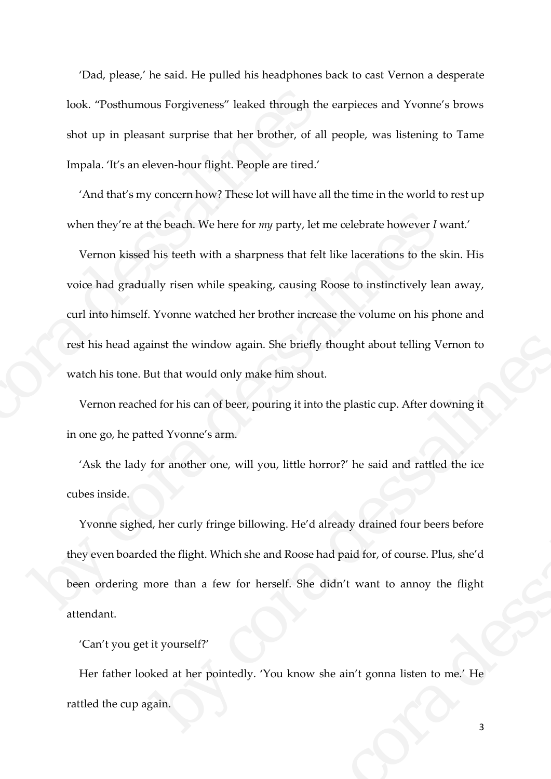'Dad, please,' he said. He pulled his headphones back to cast Vernon a desperate look. "Posthumous Forgiveness" leaked through the earpieces and Yvonne's brows shot up in pleasant surprise that her brother, of all people, was listening to Tame Impala. 'It's an eleven-hour flight. People are tired.'

'And that's my concern how? These lot will have all the time in the world to rest up when they're at the beach. We here for *my* party, let me celebrate however *I* want.'

Vernon kissed his teeth with a sharpness that felt like lacerations to the skin. His voice had gradually risen while speaking, causing Roose to instinctively lean away, curl into himself. Yvonne watched her brother increase the volume on his phone and rest his head against the window again. She briefly thought about telling Vernon to watch his tone. But that would only make him shout. look. "Posthumous Forgiveness" leaked through the<br>shot up in pleasant surprise that her brother, of all<br>Impala. Tt's an eleven-hour flight. People are tired.'<br>'And that's my concern how? These lot will have all<br>when they'r when they're at the beach. We here for my party, let me celebrate however  $I$  we Vernon kissed his teeth with a sharpness that felt like lacerations to the skinding of the skin voice had gradually risen while speaking, ca

Vernon reached for his can of beer, pouring it into the plastic cup. After downing it in one go, he patted Yvonne's arm.

'Ask the lady for another one, will you, little horror?' he said and rattled the ice cubes inside.

Yvonne sighed, her curly fringe billowing. He'd already drained four beers before they even boarded the flight. Which she and Roose had paid for, of course. Plus, she'd been ordering more than a few for herself. She didn't want to annoy the flight attendant. inst the window again. She briefly thought about telling Vernon to<br>tut that would only make him shout.<br>At dor his can of beer, pouring it into the plastic cup. After downing it<br>ted Yvonne's arm.<br>For another one, will you, u, little horror?' he said and rattled the ice<br>ing. He'd already drained four beers before<br>nd Roose had paid for, of course. Plus, she'd<br>self. She didn't want to annoy the flight<br>ou know she ain't gonna listen to me.' He

'Can't you get it yourself?'

Her father looked at her pointedly. 'You know she ain't gonna listen to me.' He rattled the cup again.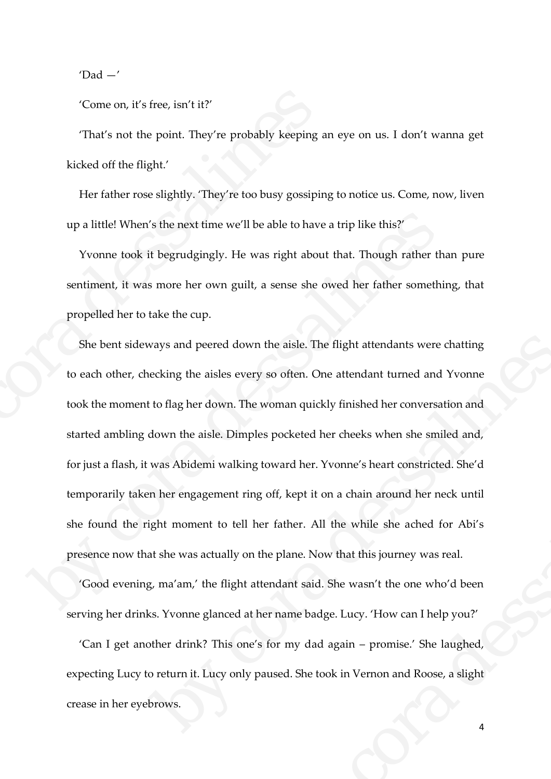$'Dad -'$ 

'Come on, it's free, isn't it?'

'That's not the point. They're probably keeping an eye on us. I don't wanna get kicked off the flight.'

Her father rose slightly. 'They're too busy gossiping to notice us. Come, now, liven up a little! When's the next time we'll be able to have a trip like this?'

Yvonne took it begrudgingly. He was right about that. Though rather than pure sentiment, it was more her own guilt, a sense she owed her father something, that propelled her to take the cup.

She bent sideways and peered down the aisle. The flight attendants were chatting to each other, checking the aisles every so often. One attendant turned and Yvonne took the moment to flag her down. The woman quickly finished her conversation and started ambling down the aisle. Dimples pocketed her cheeks when she smiled and, for just a flash, it was Abidemi walking toward her. Yvonne's heart constricted. She'd temporarily taken her engagement ring off, kept it on a chain around her neck until she found the right moment to tell her father. All the while she ached for Abi's presence now that she was actually on the plane. Now that this journey was real. That's not the point. They're probably keeping at kicked off the flight.'<br>That's not the point. They're probably keeping at kicked off the flight.'<br>Her father rose slightly. 'They're too busy gossiping<br>up a little! When's up a little! When's the next time we'll be able to have a trip like this?'<br>
Yvonne took it begrudgingly. He was right about that. Though rather that<br>
sentiment, it was more her own guilt, a sense she owed her father somet ways and peered down the aisle. The flight attendants were chatting<br>ecking the aisles every so often. One attendant turned and Yvonne<br>to flag her down. The woman quickly finished her conversation and<br>down the aisle. Dimple ward her. Yvonne's heart constricted. She'd<br>eff, kept it on a chain around her neck until<br>father. All the while she ached for Abi's<br>e plane. Now that this journey was real.<br>ndant said. She wasn't the one who'd been<br>rame ba

'Good evening, ma'am,' the flight attendant said. She wasn't the one who'd been serving her drinks. Yvonne glanced at her name badge. Lucy. 'How can I help you?'

'Can I get another drink? This one's for my dad again – promise.' She laughed, expecting Lucy to return it. Lucy only paused. She took in Vernon and Roose, a slight crease in her eyebrows.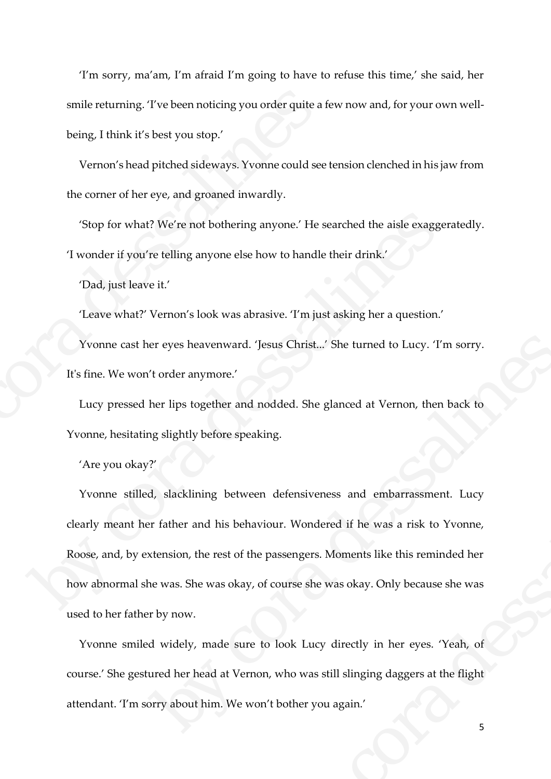'I'm sorry, ma'am, I'm afraid I'm going to have to refuse this time,' she said, her smile returning. 'I've been noticing you order quite a few now and, for your own wellbeing, I think it's best you stop.' smile returning. Tve been noticing you order quite a fivening, I think it's best you stop.'<br>
Vernon's head pitched sideways. Yvonne could see<br>
the corner of her eye, and groaned inwardly.<br>
"Stop for what? We're not botheri

Vernon's head pitched sideways. Yvonne could see tension clenched in his jaw from the corner of her eye, and groaned inwardly.

'Stop for what? We're not bothering anyone.' He searched the aisle exaggeratedly. 'I wonder if you're telling anyone else how to handle their drink.'

'Dad, just leave it.'

'Leave what?' Vernon's look was abrasive. 'I'm just asking her a question.'

Yvonne cast her eyes heavenward. 'Jesus Christ...' She turned to Lucy. 'I'm sorry. It's fine. We won't order anymore.'

Lucy pressed her lips together and nodded. She glanced at Vernon, then back to Yvonne, hesitating slightly before speaking.

'Are you okay?'

Yvonne stilled, slacklining between defensiveness and embarrassment. Lucy clearly meant her father and his behaviour. Wondered if he was a risk to Yvonne, Roose, and, by extension, the rest of the passengers. Moments like this reminded her how abnormal she was. She was okay, of course she was okay. Only because she was used to her father by now. Stop for what? We're not bothering anyone.' He searched the aisle exaggers<br>
T wonder if you're telling anyone else how to handle their drink.'<br>
'Dad, just leave it.'<br>
'Leave what?' Vernon's look was abrasive. T'm just ask er eyes heavenward. Jesus Christ...' She turned to Lucy. Tm sorry.<br>
't order anymore.'<br>
her lips together and nodded. She glanced at Vernon, then back to<br>
ng slightly before speaking.<br>
?<br>
d, slacklining between defensivene defensiveness and embarrassment. Lucy<br>
uur. Wondered if he was a risk to Yvonne,<br>
assengers. Moments like this reminded her<br>
course she was okay. Only because she was<br>
look Lucy directly in her eyes. 'Yeah, of<br>
who was sti

Yvonne smiled widely, made sure to look Lucy directly in her eyes. 'Yeah, of course.' She gestured her head at Vernon, who was still slinging daggers at the flight attendant. 'I'm sorry about him. We won't bother you again.'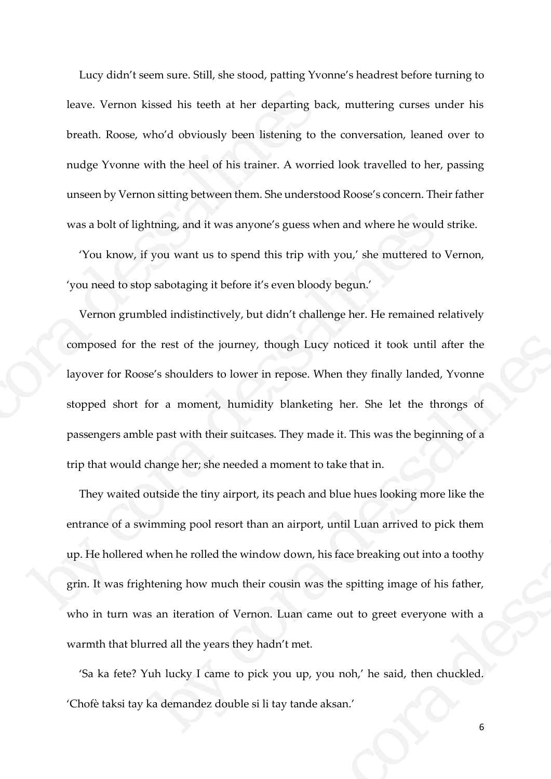Lucy didn't seem sure. Still, she stood, patting Yvonne's headrest before turning to leave. Vernon kissed his teeth at her departing back, muttering curses under his breath. Roose, who'd obviously been listening to the conversation, leaned over to nudge Yvonne with the heel of his trainer. A worried look travelled to her, passing unseen by Vernon sitting between them. She understood Roose's concern. Their father was a bolt of lightning, and it was anyone's guess when and where he would strike.

'You know, if you want us to spend this trip with you,' she muttered to Vernon, 'you need to stop sabotaging it before it's even bloody begun.'

Vernon grumbled indistinctively, but didn't challenge her. He remained relatively composed for the rest of the journey, though Lucy noticed it took until after the layover for Roose's shoulders to lower in repose. When they finally landed, Yvonne stopped short for a moment, humidity blanketing her. She let the throngs of passengers amble past with their suitcases. They made it. This was the beginning of a trip that would change her; she needed a moment to take that in. leave. Vernon kissed his teeth at her departing bac<br>breath. Roose, who'd obviously been listening to th<br>nudge Yvonne with the heel of his trainer. A worrie<br>unseen by Vernon sitting between them. She understo<br>was a bolt of was a bolt of lightning, and it was anyone's guess when and where he would a<br>
You know, if you want us to spend this trip with you,' she muttered to V<br>
You need to stop sabotaging it before it's even bloody begun.'<br>
Verno

They waited outside the tiny airport, its peach and blue hues looking more like the entrance of a swimming pool resort than an airport, until Luan arrived to pick them up. He hollered when he rolled the window down, his face breaking out into a toothy grin. It was frightening how much their cousin was the spitting image of his father, who in turn was an iteration of Vernon. Luan came out to greet everyone with a warmth that blurred all the years they hadn't met. e rest of the journey, though Lucy noticed it took until after the<br>e's shoulders to lower in repose. When they finally landed, Yvonne<br>or a moment, humidity blanketing her. She let the throngs of<br>e past with their suitcases moment to take that in.<br>
s peach and blue hues looking more like the<br>
an airport, until Luan arrived to pick them<br>
w down, his face breaking out into a toothy<br>
cousin was the spitting image of his father,<br>
Luan came out to

'Sa ka fete? Yuh lucky I came to pick you up, you noh,' he said, then chuckled. 'Chofè taksi tay ka demandez double si li tay tande aksan.'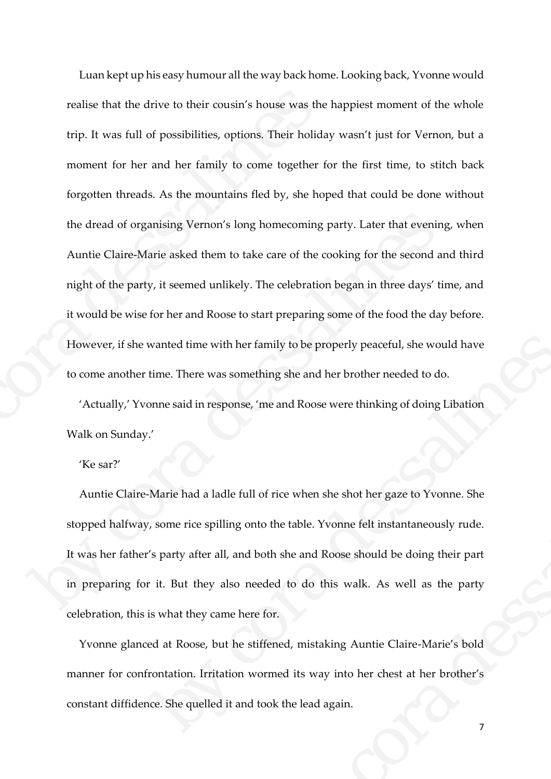Luan kept up his easy humour all the way back home. Looking back, Yvonne would realise that the drive to their cousin's house was the happiest moment of the whole trip. It was full of possibilities, options. Their holiday wasn't just for Vernon, but a moment for her and her family to come together for the first time, to stitch back forgotten threads. As the mountains fled by, she hoped that could be done without the dread of organising Vernon's long homecoming party. Later that evening, when Auntie Claire-Marie asked them to take care of the cooking for the second and third night of the party, it seemed unlikely. The celebration began in three days' time, and it would be wise for her and Roose to start preparing some of the food the day before. However, if she wanted time with her family to be properly peaceful, she would have to come another time. There was something she and her brother needed to do. realise that the drive to their cousin's house was the<br>trip. It was full of possibilities, options. Their holidar<br>moment for her and her family to come together for<br>forgotten threads. As the mountains fled by, she hop<br>the the dread of organising Vernon's long homecoming party. Later that evening.<br>
Auntie Claire-Marie asked them to take care of the cooking for the second and<br>
might of the party, it seemed unlikely. The celebration began in t

'Actually,' Yvonne said in response, 'me and Roose were thinking of doing Libation Walk on Sunday.'

## 'Ke sar?'

Auntie Claire-Marie had a ladle full of rice when she shot her gaze to Yvonne. She stopped halfway, some rice spilling onto the table. Yvonne felt instantaneously rude. It was her father's party after all, and both she and Roose should be doing their part in preparing for it. But they also needed to do this walk. As well as the party celebration, this is what they came here for. wanted time with her family to be properly peaceful, she would have<br>time. There was something she and her brother needed to do.<br>Dinne said in response, 'me and Roose were thinking of doing Libation<br>...<br>Marie had a ladle fu rice when she shot her gaze to Yvonne. She<br>the table. Yvonne felt instantaneously rude.<br>h she and Roose should be doing their part<br>ed to do this walk. As well as the party<br>or.<br>med, mistaking Auntie Claire-Marie's bold<br>med

Yvonne glanced at Roose, but he stiffened, mistaking Auntie Claire-Marie's bold manner for confrontation. Irritation wormed its way into her chest at her brother's constant diffidence. She quelled it and took the lead again.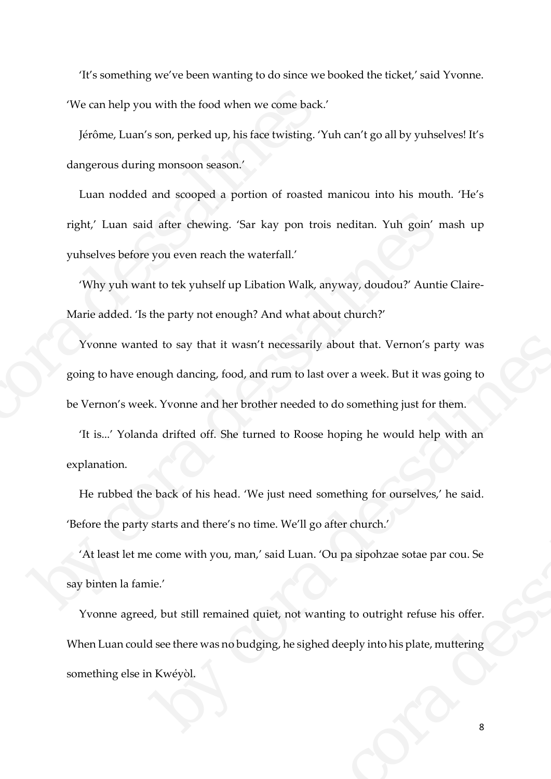'It's something we've been wanting to do since we booked the ticket,' said Yvonne. 'We can help you with the food when we come back.'

Jérôme, Luan's son, perked up, his face twisting. 'Yuh can't go all by yuhselves! It's dangerous during monsoon season.'

Luan nodded and scooped a portion of roasted manicou into his mouth. 'He's right,' Luan said after chewing. 'Sar kay pon trois neditan. Yuh goin' mash up yuhselves before you even reach the waterfall.'

'Why yuh want to tek yuhself up Libation Walk, anyway, doudou?' Auntie Claire-Marie added. 'Is the party not enough? And what about church?'

Yvonne wanted to say that it wasn't necessarily about that. Vernon's party was going to have enough dancing, food, and rum to last over a week. But it was going to be Vernon's week. Yvonne and her brother needed to do something just for them. We can help you with the food when we come back.<br>
Jérôme, Luan's son, perked up, his face twisting. Yu<br>
dangerous during monsoon season.'<br>
Luan nodded and scooped a portion of roasted 1<br>
right,' Luan said after chewing. 'S right,' Luan said after chewing. 'Sar kay pon trois neditan. Yuh goin' may uluselves before you even reach the waterfall.'<br>
"Why yuh want to tek yuhself up Libation Walk, anyway, doudou?' Auntie that are added. Ts the part by that it wasn't necessarily about that. Vernon's party was<br>ough dancing, food, and rum to last over a week. But it was going to<br>k. Yvonne and her brother needed to do something just for them.<br>Ha drifted off. She turned t

'It is...' Yolanda drifted off. She turned to Roose hoping he would help with an explanation.

He rubbed the back of his head. 'We just need something for ourselves,' he said. 'Before the party starts and there's no time. We'll go after church.'

'At least let me come with you, man,' said Luan. 'Ou pa sipohzae sotae par cou. Se say binten la famie.'

Yvonne agreed, but still remained quiet, not wanting to outright refuse his offer. When Luan could see there was no budging, he sighed deeply into his plate, muttering something else in Kwéyòl. ust need something for ourselves,' he said.<br>
e. We'll go after church.'<br>
aid Luan. 'Ou pa sipohzae sotae par cou. Se<br>
et, not wanting to outright refuse his offer.<br>
g, he sighed deeply into his plate, muttering<br>
8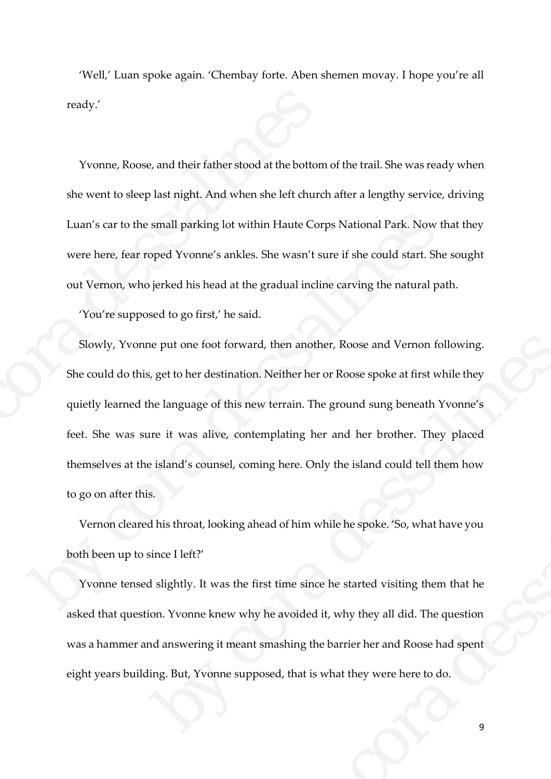'Well,' Luan spoke again. 'Chembay forte. Aben shemen movay. I hope you're all ready.'

Yvonne, Roose, and their father stood at the bottom of the trail. She was ready when she went to sleep last night. And when she left church after a lengthy service, driving Luan's car to the small parking lot within Haute Corps National Park. Now that they were here, fear roped Yvonne's ankles. She wasn't sure if she could start. She sought out Vernon, who jerked his head at the gradual incline carving the natural path.

'You're supposed to go first,' he said.

Slowly, Yvonne put one foot forward, then another, Roose and Vernon following. She could do this, get to her destination. Neither her or Roose spoke at first while they quietly learned the language of this new terrain. The ground sung beneath Yvonne's feet. She was sure it was alive, contemplating her and her brother. They placed themselves at the island's counsel, coming here. Only the island could tell them how to go on after this. ready.'<br>
Yvonne, Roose, and their father stood at the bottom<br>
she went to sleep last night. And when she left church<br>
Luan's car to the small parking lot within Haute Corp<br>
were here, fear roped Yvonne's ankles. She wasn't Luan's car to the small parking lot within Haute Corps National Park. Now the were here, fear roped Yvonne's ankles. She wasn't sure if she could start. She is out Vernon, who jerked his head at the gradual incline carvin by the put one foot forward, then another, Roose and Vernon following.<br>
Suge to her destination. Neither her or Roose spoke at first while they<br>
the language of this new terrain. The ground sung beneath Yvonne's<br>
ure it wa

Vernon cleared his throat, looking ahead of him while he spoke. 'So, what have you both been up to since I left?'

Yvonne tensed slightly. It was the first time since he started visiting them that he asked that question. Yvonne knew why he avoided it, why they all did. The question was a hammer and answering it meant smashing the barrier her and Roose had spent eight years building. But, Yvonne supposed, that is what they were here to do. g here. Only the island could tell them how<br>d of him while he spoke. 'So, what have you<br>time since he started visiting them that he<br>e avoided it, why they all did. The question<br>nashing the barrier her and Roose had spent<br>e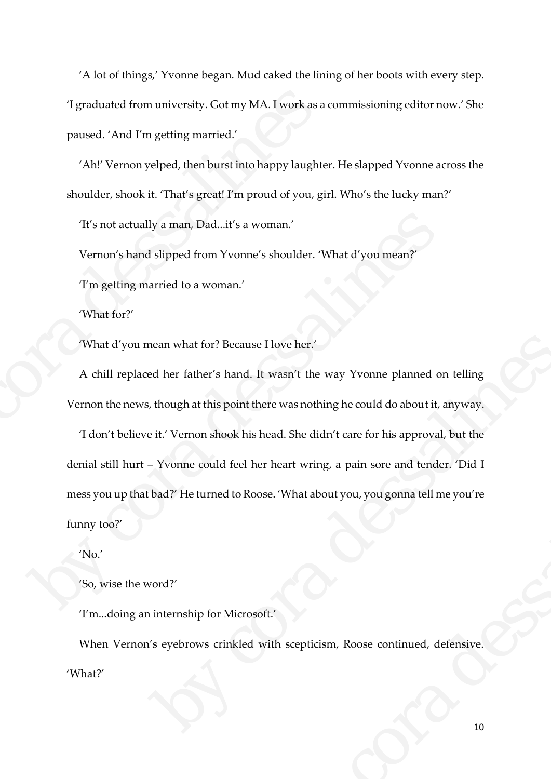'A lot of things,' Yvonne began. Mud caked the lining of her boots with every step. 'I graduated from university. Got my MA. I work as a commissioning editor now.' She paused. 'And I'm getting married.'

'Ah!' Vernon yelped, then burst into happy laughter. He slapped Yvonne across the shoulder, shook it. 'That's great! I'm proud of you, girl. Who's the lucky man?'

'It's not actually a man, Dad...it's a woman.'

Vernon's hand slipped from Yvonne's shoulder. 'What d'you mean?'

'I'm getting married to a woman.'

'What for?'

'What d'you mean what for? Because I love her.'

A chill replaced her father's hand. It wasn't the way Yvonne planned on telling Vernon the news, though at this point there was nothing he could do about it, anyway.

'I don't believe it.' Vernon shook his head. She didn't care for his approval, but the denial still hurt – Yvonne could feel her heart wring, a pain sore and tender. 'Did I mess you up that bad?' He turned to Roose. 'What about you, you gonna tell me you're funny too?' The graduated from university. Got my MA. I work as a compared. That The graduated in the graduate of the shoulder, shook it. That's great! I'm proud of you, gives the shoulder, shook it. That's great! I'm proud of you, g Tells and slipped from Yvonne's shoulder. What d'you mean?<br>
Vernon's hand slipped from Yvonne's shoulder. What d'you mean?<br>
Ten getting married to a woman.'<br>
Ten getting married to a woman.'<br>
What d'you mean what for? Bec mean what for? Because I love her.<br>
Expedience the value of the way Yvonne planned on telling<br>
delter father's hand. It wasn't the way Yvonne planned on telling<br>
though at this point there was nothing he could do about it, by cora dessalines

'No.'

'So, wise the word?'

'I'm...doing an internship for Microsoft.'

When Vernon's eyebrows crinkled with scepticism, Roose continued, defensive. 'What?'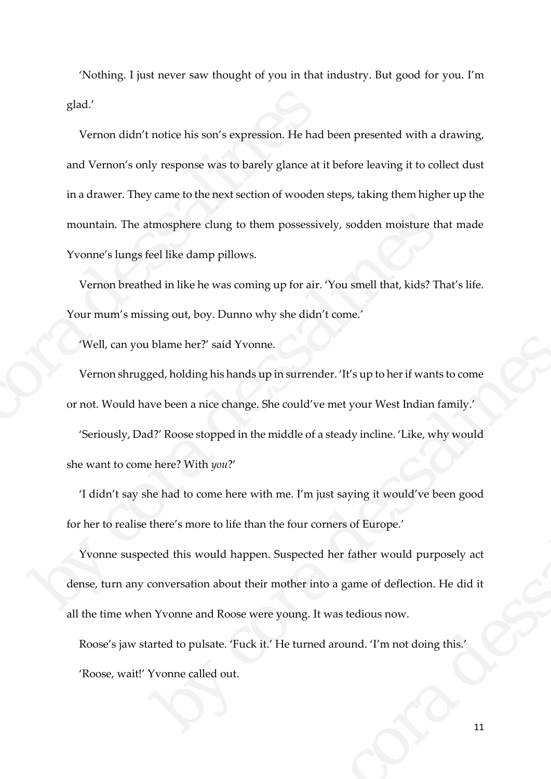'Nothing. I just never saw thought of you in that industry. But good for you. I'm glad.'

Vernon didn't notice his son's expression. He had been presented with a drawing, and Vernon's only response was to barely glance at it before leaving it to collect dust in a drawer. They came to the next section of wooden steps, taking them higher up the mountain. The atmosphere clung to them possessively, sodden moisture that made Yvonne's lungs feel like damp pillows. glad.'<br>
Vernon didn't notice his son's expression. He had l<br>
and Vernon's only response was to barely glance at it<br>
in a drawer. They came to the next section of wooden<br>
mountain. The atmosphere clung to them possessive<br>

Vernon breathed in like he was coming up for air. 'You smell that, kids? That's life. Your mum's missing out, boy. Dunno why she didn't come.'

'Well, can you blame her?' said Yvonne.

Vernon shrugged, holding his hands up in surrender. 'It's up to her if wants to come or not. Would have been a nice change. She could've met your West Indian family.'

'Seriously, Dad?' Roose stopped in the middle of a steady incline. 'Like, why would she want to come here? With *you*?'

'I didn't say she had to come here with me. I'm just saying it would've been good for her to realise there's more to life than the four corners of Europe.'

Yvonne suspected this would happen. Suspected her father would purposely act dense, turn any conversation about their mother into a game of deflection. He did it all the time when Yvonne and Roose were young. It was tedious now. mountain. The atmosphere clung to them possessively, sodden moisture that<br>Yvonne's lungs feel like damp pillows.<br>Vernon breathed in like he was coming up for air. You smell that, kids? The<br>Your mum's missing out, boy. Dunn blame her?' said Yvonne.<br>
ged, holding his hands up in surrender. Tt's up to her if wants to come<br>
vec been a nice change. She could've met your West Indian family.'<br>
d?' Roose stopped in the middle of a steady incline. Th me. I'm just saying it would've been good<br>the four corners of Europe.'<br>Suspected her father would purposely act<br>mother into a game of deflection. He did it<br>young. It was tedious now.<br>'He turned around. 'I'm not doing this.

Roose's jaw started to pulsate. 'Fuck it.' He turned around. 'I'm not doing this.' 'Roose, wait!' Yvonne called out.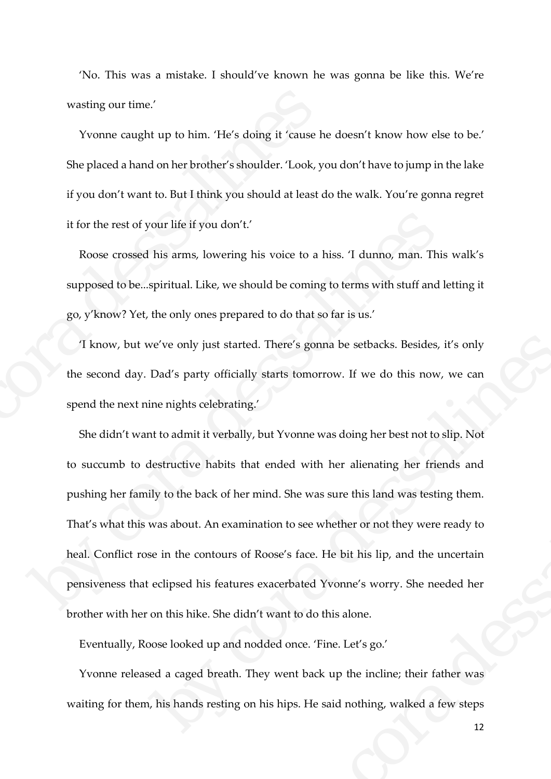'No. This was a mistake. I should've known he was gonna be like this. We're wasting our time.'

Yvonne caught up to him. 'He's doing it 'cause he doesn't know how else to be.' She placed a hand on her brother's shoulder. 'Look, you don't have to jump in the lake if you don't want to. But I think you should at least do the walk. You're gonna regret it for the rest of your life if you don't.' wasting our time.'<br>
Yvonne caught up to him. 'He's doing it 'cause he<br>
She placed a hand on her brother's shoulder. 'Look, yo<br>
if you don't want to. But I think you should at least do<br>
it for the rest of your life if you

Roose crossed his arms, lowering his voice to a hiss. 'I dunno, man. This walk's supposed to be...spiritual. Like, we should be coming to terms with stuff and letting it go, y'know? Yet, the only ones prepared to do that so far is us.'

'I know, but we've only just started. There's gonna be setbacks. Besides, it's only the second day. Dad's party officially starts tomorrow. If we do this now, we can spend the next nine nights celebrating.'

She didn't want to admit it verbally, but Yvonne was doing her best not to slip. Not to succumb to destructive habits that ended with her alienating her friends and pushing her family to the back of her mind. She was sure this land was testing them. That's what this was about. An examination to see whether or not they were ready to heal. Conflict rose in the contours of Roose's face. He bit his lip, and the uncertain pensiveness that eclipsed his features exacerbated Yvonne's worry. She needed her brother with her on this hike. She didn't want to do this alone. it for the rest of your life if you don't.'<br>
Roose crossed his arms, lowering his voice to a hiss. T dunno, man. This<br>
supposed to be...spiritual. Like, we should be coming to terms with stuff and le<br>
go, y'know? Yet, the we've only just started. There's gonna be setbacks. Besides, it's only<br>
Dad's party officially starts tomorrow. If we do this now, we can<br>
ine nights celebrating.'<br>
At to admit it verbally, but Yvonne was doing her best no nded with her alienating her friends and<br>d. She was sure this land was testing them.<br>on to see whether or not they were ready to<br>bse's face. He bit his lip, and the uncertain<br>acerbated Yvonne's worry. She needed her<br>vant t

Eventually, Roose looked up and nodded once. 'Fine. Let's go.'

Yvonne released a caged breath. They went back up the incline; their father was waiting for them, his hands resting on his hips. He said nothing, walked a few steps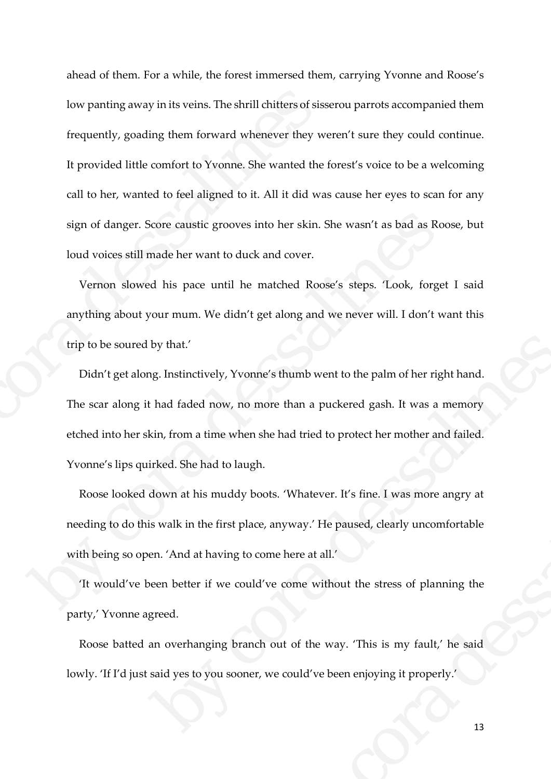ahead of them. For a while, the forest immersed them, carrying Yvonne and Roose's low panting away in its veins. The shrill chitters of sisserou parrots accompanied them frequently, goading them forward whenever they weren't sure they could continue. It provided little comfort to Yvonne. She wanted the forest's voice to be a welcoming call to her, wanted to feel aligned to it. All it did was cause her eyes to scan for any sign of danger. Score caustic grooves into her skin. She wasn't as bad as Roose, but loud voices still made her want to duck and cover. low panting away in its veins. The shrill chitters of siss<br>frequently, goading them forward whenever they we<br>It provided little comfort to Yvonne. She wanted the f<br>call to her, wanted to feel aligned to it. All it did was<br>

Vernon slowed his pace until he matched Roose's steps. 'Look, forget I said anything about your mum. We didn't get along and we never will. I don't want this trip to be soured by that.'

Didn't get along. Instinctively, Yvonne's thumb went to the palm of her right hand. The scar along it had faded now, no more than a puckered gash. It was a memory etched into her skin, from a time when she had tried to protect her mother and failed. Yvonne's lips quirked. She had to laugh. sign of danger. Score caustic grooves into her skin. She wasn't as bad as Root loud voices still made her want to duck and cover.<br>
Vernon slowed his pace until he matched Roose's steps. 'Look, forget anything about your mu by that.'<br>
ng. Instinctively, Yvonne's thumb went to the palm of her right hand.<br>
had faded now, no more than a puckered gash. It was a memory<br>
kin, from a time when she had tried to protect her mother and failed.<br>
irked.

Roose looked down at his muddy boots. 'Whatever. It's fine. I was more angry at needing to do this walk in the first place, anyway.' He paused, clearly uncomfortable with being so open. 'And at having to come here at all.' the come without the stress of planning the come without the stress of planning the come without the stress of planning the come without the stress of planning the could of the way. This is my fault, the said we could we b

'It would've been better if we could've come without the stress of planning the party,' Yvonne agreed.

Roose batted an overhanging branch out of the way. 'This is my fault,' he said lowly. 'If I'd just said yes to you sooner, we could've been enjoying it properly.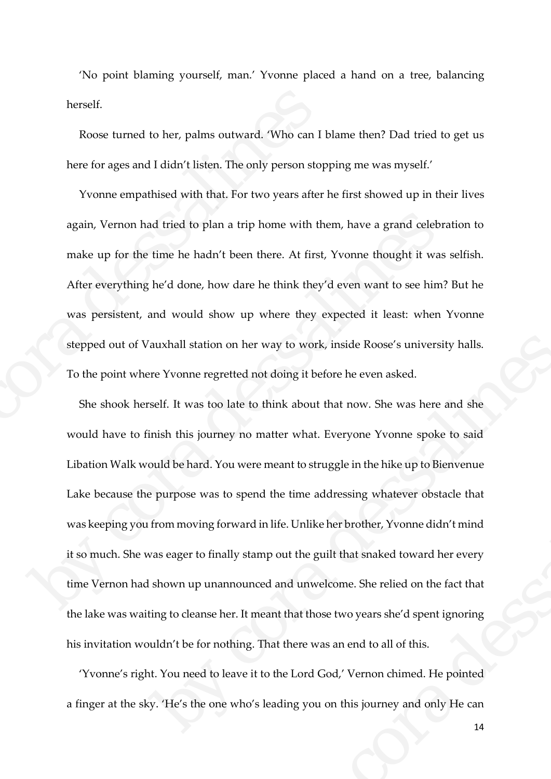'No point blaming yourself, man.' Yvonne placed a hand on a tree, balancing herself.

Roose turned to her, palms outward. 'Who can I blame then? Dad tried to get us here for ages and I didn't listen. The only person stopping me was myself.'

Yvonne empathised with that. For two years after he first showed up in their lives again, Vernon had tried to plan a trip home with them, have a grand celebration to make up for the time he hadn't been there. At first, Yvonne thought it was selfish. After everything he'd done, how dare he think they'd even want to see him? But he was persistent, and would show up where they expected it least: when Yvonne stepped out of Vauxhall station on her way to work, inside Roose's university halls. To the point where Yvonne regretted not doing it before he even asked. herself.<br>
Roose turned to her, palms outward. 'Who can I b<br>
here for ages and I didn't listen. The only person stop<br>
Yvonne empathised with that. For two years after l<br>
again, Vernon had tried to plan a trip home with the<br>

She shook herself. It was too late to think about that now. She was here and she would have to finish this journey no matter what. Everyone Yvonne spoke to said Libation Walk would be hard. You were meant to struggle in the hike up to Bienvenue Lake because the purpose was to spend the time addressing whatever obstacle that was keeping you from moving forward in life. Unlike her brother, Yvonne didn't mind it so much. She was eager to finally stamp out the guilt that snaked toward her every time Vernon had shown up unannounced and unwelcome. She relied on the fact that the lake was waiting to cleanse her. It meant that those two years she'd spent ignoring his invitation wouldn't be for nothing. That there was an end to all of this. again, Vernon had tried to plan a trip home with them, have a grand celebra<br>make up for the time he hadn't been there. At first, Yvonne thought it was s<br>After everything he'd done, how dare he think they'd even want to se auxhall station on her way to work, inside Roose's university halls.<br>
See Yvonne regretted not doing it before he even asked.<br>
See Yvonne regretted not doing it before he even asked.<br>
See Yvonne regretted not doing it befo heant to struggle in the hike up to Bienvenue<br>the time addressing whatever obstacle that<br>life. Unlike her brother, Yvonne didn't mind<br>out the guilt that snaked toward her every<br>and unwelcome. She relied on the fact that<br>nt

'Yvonne's right. You need to leave it to the Lord God,' Vernon chimed. He pointed a finger at the sky. 'He's the one who's leading you on this journey and only He can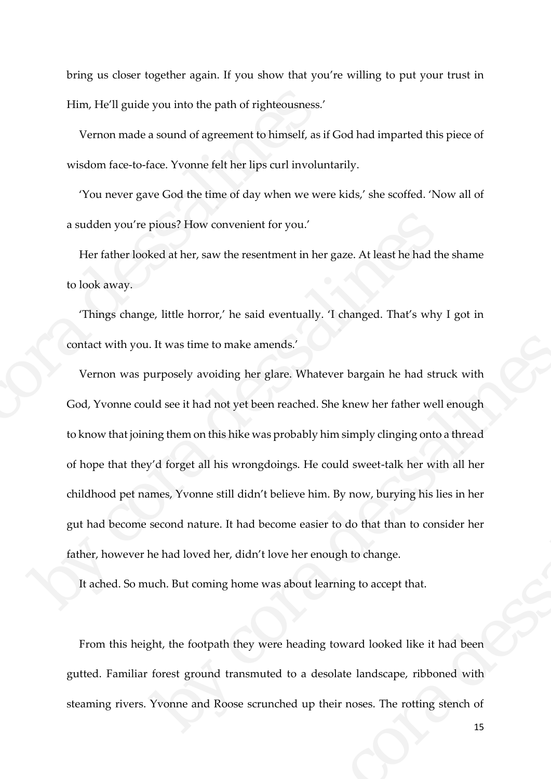bring us closer together again. If you show that you're willing to put your trust in Him, He'll guide you into the path of righteousness.'

Vernon made a sound of agreement to himself, as if God had imparted this piece of wisdom face-to-face. Yvonne felt her lips curl involuntarily.

'You never gave God the time of day when we were kids,' she scoffed. 'Now all of a sudden you're pious? How convenient for you.'

Her father looked at her, saw the resentment in her gaze. At least he had the shame to look away.

'Things change, little horror,' he said eventually. 'I changed. That's why I got in contact with you. It was time to make amends.'

Vernon was purposely avoiding her glare. Whatever bargain he had struck with God, Yvonne could see it had not yet been reached. She knew her father well enough to know that joining them on this hike was probably him simply clinging onto a thread of hope that they'd forget all his wrongdoings. He could sweet-talk her with all her childhood pet names, Yvonne still didn't believe him. By now, burying his lies in her gut had become second nature. It had become easier to do that than to consider her father, however he had loved her, didn't love her enough to change. Him, He'll guide you into the path of righteousness.'<br>Vernon made a sound of agreement to himself, as if<br>wisdom face-to-face. Yvonne felt her lips curl involun<br>'You never gave God the time of day when we wer<br>a sudden you'r a sudden you're pious? How convenient for you.'<br>
Her father looked at her, saw the resentment in her gaze. At least he had the<br>
to look away.<br>
Things change, little horror,' he said eventually. T changed. That's why I<br>
con It was time to make amends.<br>
Surposely avoiding her glare. Whatever bargain he had struck with<br>
dd see it had not yet been reached. She knew her father well enough<br>
ing them on this hike was probably him simply clinging on oings. He could sweet-talk her with all her<br>believe him. By now, burying his lies in her<br>come easier to do that than to consider her<br>ove her enough to change.<br>as about learning to accept that.<br>Fire heading toward looked li

It ached. So much. But coming home was about learning to accept that.

From this height, the footpath they were heading toward looked like it had been gutted. Familiar forest ground transmuted to a desolate landscape, ribboned with steaming rivers. Yvonne and Roose scrunched up their noses. The rotting stench of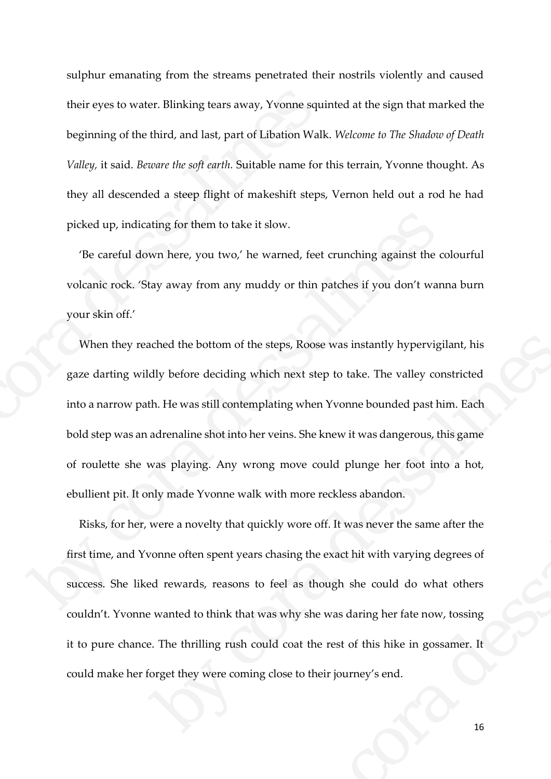sulphur emanating from the streams penetrated their nostrils violently and caused their eyes to water. Blinking tears away, Yvonne squinted at the sign that marked the beginning of the third, and last, part of Libation Walk. *Welcome to The Shadow of Death Valley,* it said. *Beware the soft earth.* Suitable name for this terrain, Yvonne thought. As they all descended a steep flight of makeshift steps, Vernon held out a rod he had picked up, indicating for them to take it slow.

'Be careful down here, you two,' he warned, feet crunching against the colourful volcanic rock. 'Stay away from any muddy or thin patches if you don't wanna burn your skin off.'

When they reached the bottom of the steps, Roose was instantly hypervigilant, his gaze darting wildly before deciding which next step to take. The valley constricted into a narrow path. He was still contemplating when Yvonne bounded past him. Each bold step was an adrenaline shot into her veins. She knew it was dangerous, this game of roulette she was playing. Any wrong move could plunge her foot into a hot, ebullient pit. It only made Yvonne walk with more reckless abandon. their eyes to water. Blinking tears away, Yvonne squin<br>beginning of the third, and last, part of Libation Walk<br>Valley, it said. Beware the soft earth. Suitable name for t<br>they all descended a steep flight of makeshift step picked up, indicating for them to take it slow.<br>
"Be careful down here, you two,' he warned, feet crunching against the colvolcanic rock. "Stay away from any muddy or thin patches if you don't wann your skin off.'<br>
When th ached the bottom of the steps, Roose was instantly hypervigilant, his<br>dly before deciding which next step to take. The valley constricted<br>th. He was still contemplating when Yvonne bounded past him. Each<br>adrenaline shot in

Risks, for her, were a novelty that quickly wore off. It was never the same after the first time, and Yvonne often spent years chasing the exact hit with varying degrees of success. She liked rewards, reasons to feel as though she could do what others couldn't. Yvonne wanted to think that was why she was daring her fate now, tossing it to pure chance. The thrilling rush could coat the rest of this hike in gossamer. It could make her forget they were coming close to their journey's end. g move could plunge her foot into a hot,<br>vith more reckless abandon.<br><br>kly wore off. It was never the same after the<br>hasing the exact hit with varying degrees of<br>feel as though she could do what others<br>is why she was daring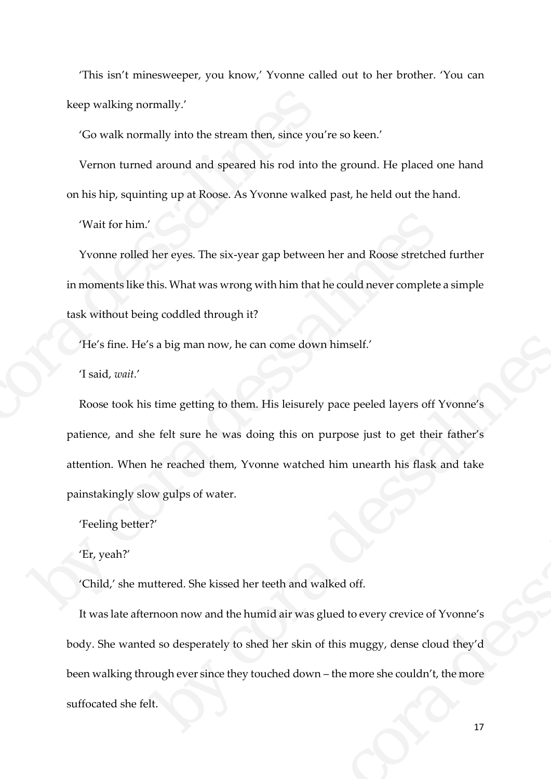'This isn't minesweeper, you know,' Yvonne called out to her brother. 'You can keep walking normally.'

'Go walk normally into the stream then, since you're so keen.'

Vernon turned around and speared his rod into the ground. He placed one hand on his hip, squinting up at Roose. As Yvonne walked past, he held out the hand.

'Wait for him.'

Yvonne rolled her eyes. The six-year gap between her and Roose stretched further in moments like this. What was wrong with him that he could never complete a simple task without being coddled through it?

'He's fine. He's a big man now, he can come down himself.'

'I said, *wait*.'

Roose took his time getting to them. His leisurely pace peeled layers off Yvonne's patience, and she felt sure he was doing this on purpose just to get their father's attention. When he reached them, Yvonne watched him unearth his flask and take painstakingly slow gulps of water. keep walking normally.'<br>
'Go walk normally into the stream then, since you't<br>
Vernon turned around and speared his rod into th<br>
on his hip, squinting up at Roose. As Yvonne walked<br>
'Wait for him.'<br>
Yvonne rolled her eyes. Walt for him.'<br>
Yvonne rolled her eyes. The six-year gap between her and Roose stretched is<br>
in moments like this. What was wrong with him that he could never complete a<br>
task without being coddled through it?<br>
'He's fine.

'Feeling better?'

'Er, yeah?'

'Child,' she muttered. She kissed her teeth and walked off.

It was late afternoon now and the humid air was glued to every crevice of Yvonne's body. She wanted so desperately to shed her skin of this muggy, dense cloud they'd been walking through ever since they touched down – the more she couldn't, the more suffocated she felt. of the move, he can come down himself.<br>
So time getting to them. His leisurely pace peeled layers off Yvonne's<br>
definition is expected them, Yvonne watched him unearth his flask and take<br>
the reached them, Yvonne watched h he watched him unearth his flask and take<br>th and walked off.<br>d air was glued to every crevice of Yvonne's<br>her skin of this muggy, dense cloud they'd<br>thed down – the more she couldn't, the more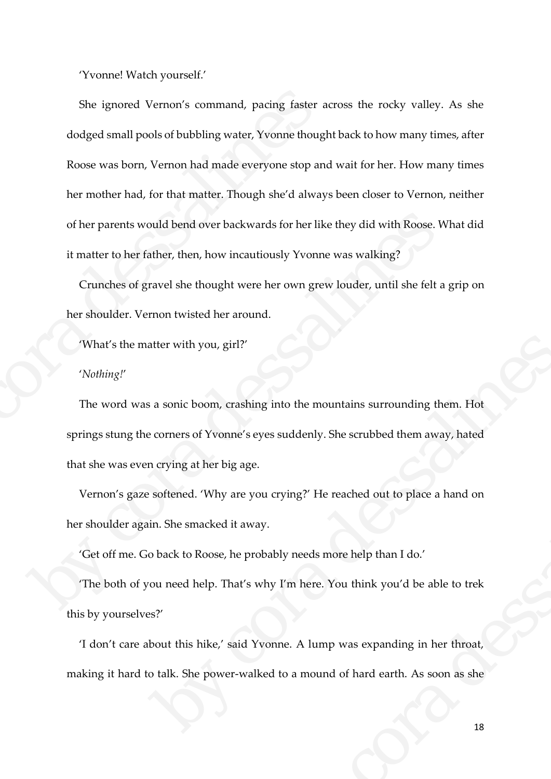'Yvonne! Watch yourself.'

She ignored Vernon's command, pacing faster across the rocky valley. As she dodged small pools of bubbling water, Yvonne thought back to how many times, after Roose was born, Vernon had made everyone stop and wait for her. How many times her mother had, for that matter. Though she'd always been closer to Vernon, neither of her parents would bend over backwards for her like they did with Roose. What did it matter to her father, then, how incautiously Yvonne was walking? She ignored Vernon's command, pacing faster as<br>dodged small pools of bubbling water, Yvonne though<br>Roose was born, Vernon had made everyone stop and<br>her mother had, for that matter. Though she'd always<br>of her parents would

Crunches of gravel she thought were her own grew louder, until she felt a grip on her shoulder. Vernon twisted her around.

'What's the matter with you, girl?'

## '*Nothing!*'

The word was a sonic boom, crashing into the mountains surrounding them. Hot springs stung the corners of Yvonne's eyes suddenly. She scrubbed them away, hated that she was even crying at her big age. of her parents would bend over backwards for her like they did with Roose. What it matter to her father, then, how incautiously Yvonne was walking?<br>
Crunches of gravel she thought were her own grew louder, until she felt a etter with you, girl?"<br>
A a sonic boom, crashing into the mountains surrounding them. Hot<br>
corners of Yvonne's eyes suddenly. She scrubbed them away, hated<br>
a crying at her big age.<br>
softened. 'Why are you crying?' He reac

Vernon's gaze softened. 'Why are you crying?' He reached out to place a hand on her shoulder again. She smacked it away. crying?' He reached out to place a hand on<br>hbly needs more help than I do.'<br>y I'm here. You think you'd be able to trek<br>nne. A lump was expanding in her throat,<br>d to a mound of hard earth. As soon as she<br>18

'Get off me. Go back to Roose, he probably needs more help than I do.'

'The both of you need help. That's why I'm here. You think you'd be able to trek this by yourselves?'

'I don't care about this hike,' said Yvonne. A lump was expanding in her throat, making it hard to talk. She power-walked to a mound of hard earth. As soon as she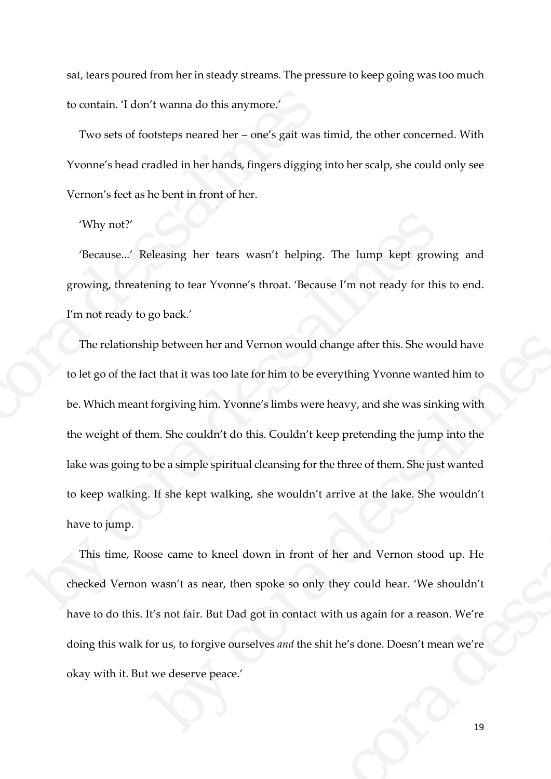sat, tears poured from her in steady streams. The pressure to keep going was too much to contain. 'I don't wanna do this anymore.'

Two sets of footsteps neared her – one's gait was timid, the other concerned. With Yvonne's head cradled in her hands, fingers digging into her scalp, she could only see Vernon's feet as he bent in front of her.

'Why not?'

'Because...' Releasing her tears wasn't helping. The lump kept growing and growing, threatening to tear Yvonne's throat. 'Because I'm not ready for this to end. I'm not ready to go back.'

The relationship between her and Vernon would change after this. She would have to let go of the fact that it was too late for him to be everything Yvonne wanted him to be. Which meant forgiving him. Yvonne's limbs were heavy, and she was sinking with the weight of them. She couldn't do this. Couldn't keep pretending the jump into the lake was going to be a simple spiritual cleansing for the three of them. She just wanted to keep walking. If she kept walking, she wouldn't arrive at the lake. She wouldn't have to jump. to contain. T don't wanna do this anymore.'<br>Two sets of footsteps neared her – one's gait was ti<br>Yvonne's head cradled in her hands, fingers digging in<br>Vernon's feet as he bent in front of her.<br>'Why not?'<br>'Because...' Rele Why not?'<br>
"Because...' Releasing her tears wasn't helping. The lump kept growin<br>
growing, threatening to tear Yvonne's throat. 'Because I'm not ready for this<br>
1. I'm not ready to go back.'<br>
The relationship between her ip between her and Vernon would change after this. She would have<br>
ct that it was too late for him to be everything Yvonne wanted him to<br>
forgiving him. Yvonne's limbs were heavy, and she was sinking with<br>
m. She couldn't

This time, Roose came to kneel down in front of her and Vernon stood up. He checked Vernon wasn't as near, then spoke so only they could hear. 'We shouldn't have to do this. It's not fair. But Dad got in contact with us again for a reason. We're doing this walk for us, to forgive ourselves *and* the shit he's done. Doesn't mean we're okay with it. But we deserve peace.' exposing for the three of them. She just wanted<br>
by evouldn't arrive at the lake. She wouldn't<br>
in front of her and Vernon stood up. He<br>
she so only they could hear. 'We shouldn't<br>
in contact with us again for a reason. We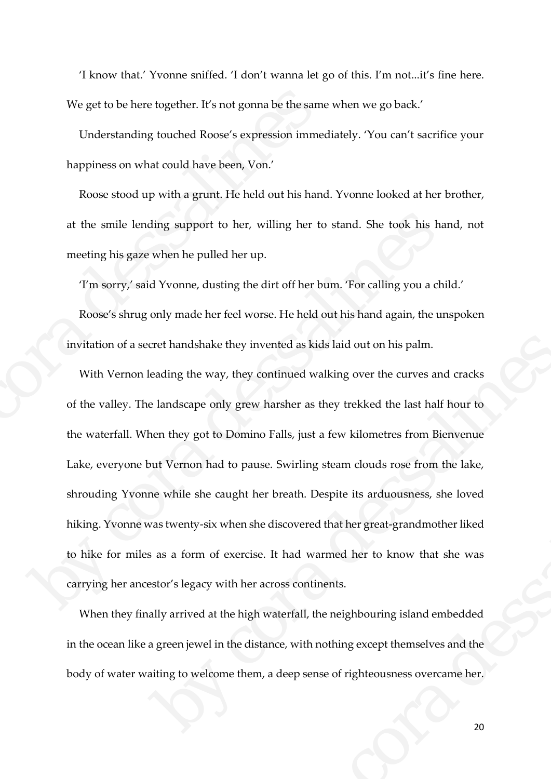'I know that.' Yvonne sniffed. 'I don't wanna let go of this. I'm not...it's fine here. We get to be here together. It's not gonna be the same when we go back.'

Understanding touched Roose's expression immediately. 'You can't sacrifice your happiness on what could have been, Von.'

Roose stood up with a grunt. He held out his hand. Yvonne looked at her brother, at the smile lending support to her, willing her to stand. She took his hand, not meeting his gaze when he pulled her up.

'I'm sorry,' said Yvonne, dusting the dirt off her bum. 'For calling you a child.'

Roose's shrug only made her feel worse. He held out his hand again, the unspoken invitation of a secret handshake they invented as kids laid out on his palm.

With Vernon leading the way, they continued walking over the curves and cracks of the valley. The landscape only grew harsher as they trekked the last half hour to the waterfall. When they got to Domino Falls, just a few kilometres from Bienvenue Lake, everyone but Vernon had to pause. Swirling steam clouds rose from the lake, shrouding Yvonne while she caught her breath. Despite its arduousness, she loved hiking. Yvonne was twenty-six when she discovered that her great-grandmother liked to hike for miles as a form of exercise. It had warmed her to know that she was carrying her ancestor's legacy with her across continents. We get to be here together. It's not gonna be the same<br>Understanding touched Roose's expression immed<br>happiness on what could have been, Von.'<br>Roose stood up with a grunt. He held out his hand<br>at the smile lending support at the smile lending support to her, willing her to stand. She took his han meeting his gaze when he pulled her up.<br>
"I'm sorry,' said Yvonne, dusting the dirt off her bum. Tor calling you a child<br>
Roose's shrug only made cret handshake they invented as kids laid out on his palm.<br>
Eading the way, they continued walking over the curves and cracks<br>
Landscape only grew harsher as they trekked the last half hour to<br>
nen they got to Domino Falls Swirling steam clouds rose from the lake,<br>breath. Despite its arduousness, she loved<br>discovered that her great-grandmother liked<br>It had warmed her to know that she was<br>ross continents.<br>aterfall, the neighbouring island emb

When they finally arrived at the high waterfall, the neighbouring island embedded in the ocean like a green jewel in the distance, with nothing except themselves and the body of water waiting to welcome them, a deep sense of righteousness overcame her.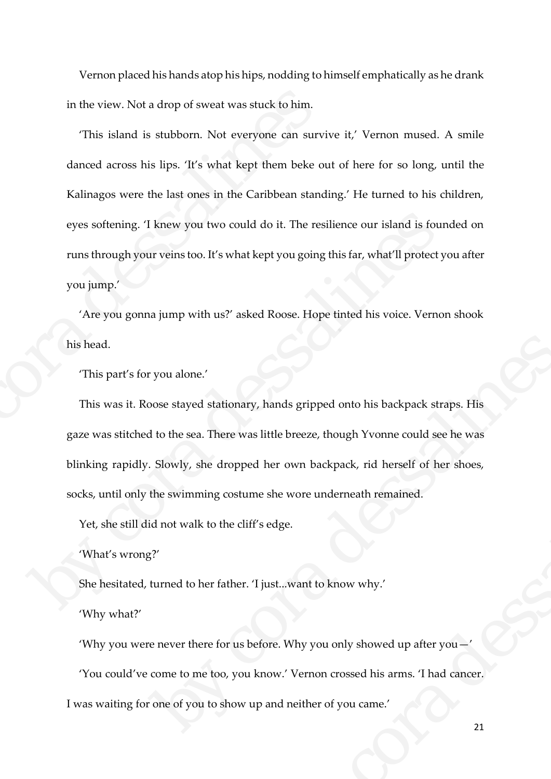Vernon placed his hands atop his hips, nodding to himself emphatically as he drank in the view. Not a drop of sweat was stuck to him.

'This island is stubborn. Not everyone can survive it,' Vernon mused. A smile danced across his lips. 'It's what kept them beke out of here for so long, until the Kalinagos were the last ones in the Caribbean standing.' He turned to his children, eyes softening. 'I knew you two could do it. The resilience our island is founded on runs through your veins too. It's what kept you going this far, what'll protect you after you jump.' in the view. Not a drop of sweat was stuck to him.<br>
This island is stubborn. Not everyone can survively danced across his lips. The what kept them beke ou<br>
Kalinagos were the last ones in the Caribbean standingly everyone

'Are you gonna jump with us?' asked Roose. Hope tinted his voice. Vernon shook his head.

'This part's for you alone.'

This was it. Roose stayed stationary, hands gripped onto his backpack straps. His gaze was stitched to the sea. There was little breeze, though Yvonne could see he was blinking rapidly. Slowly, she dropped her own backpack, rid herself of her shoes, socks, until only the swimming costume she wore underneath remained. eyes softening. T knew you two could do it. The resilience our island is found runs through your veins too. It's what kept you going this far, what'll protect yo<br>you jump.'<br>
'Are you gonna jump with us?' asked Roose. Hope by you alone.'<br>
by you alone.'<br>
by cose stayed stationary, hands gripped onto his backpack straps. His<br>
by the sea. There was little breeze, though Yvonne could see he was<br>
slowly, she dropped her own backpack, rid herself

Yet, she still did not walk to the cliff's edge.

'What's wrong?'

She hesitated, turned to her father. 'I just...want to know why.'

'Why what?'

'Why you were never there for us before. Why you only showed up after you—' 'You could've come to me too, you know.' Vernon crossed his arms. 'I had cancer. I was waiting for one of you to show up and neither of you came.' er own backpack, rid herself of her shoes,<br>the wore underneath remained.<br>dge.<br>st...want to know why.'<br>re. Why you only showed up after you—'<br>w.' Vernon crossed his arms. 'I had cancer.<br>nd neither of you came.'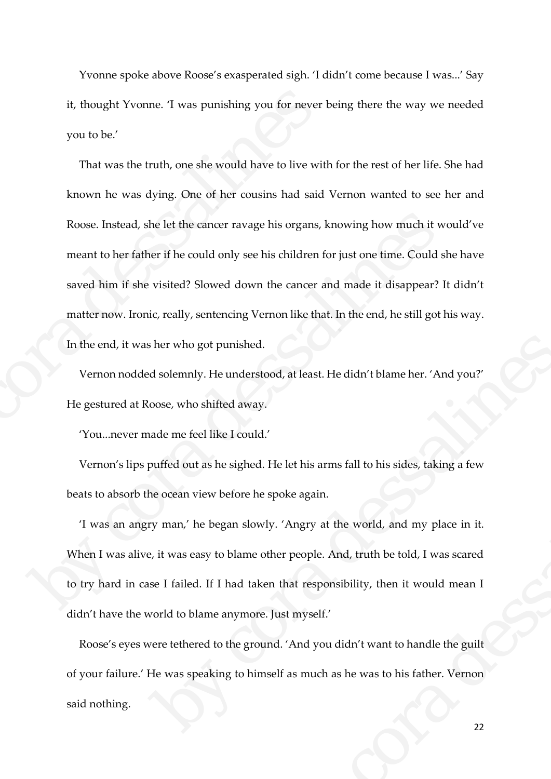Yvonne spoke above Roose's exasperated sigh. 'I didn't come because I was...' Say it, thought Yvonne. 'I was punishing you for never being there the way we needed you to be.'

That was the truth, one she would have to live with for the rest of her life. She had known he was dying. One of her cousins had said Vernon wanted to see her and Roose. Instead, she let the cancer ravage his organs, knowing how much it would've meant to her father if he could only see his children for just one time. Could she have saved him if she visited? Slowed down the cancer and made it disappear? It didn't matter now. Ironic, really, sentencing Vernon like that. In the end, he still got his way. In the end, it was her who got punished. it, thought Yvonne. 'I was punishing you for never by you to be.'<br>That was the truth, one she would have to live with known he was dying. One of her cousins had said Roose. Instead, she let the cancer ravage his organs, k Roose. Instead, she let the cancer ravage his organs, knowing how much it wo<br>meant to her father if he could only see his children for just one time. Could sh<br>saved him if she visited? Slowed down the cancer and made it di

Vernon nodded solemnly. He understood, at least. He didn't blame her. 'And you?' He gestured at Roose, who shifted away.

'You...never made me feel like I could.'

Vernon's lips puffed out as he sighed. He let his arms fall to his sides, taking a few beats to absorb the ocean view before he spoke again.

'I was an angry man,' he began slowly. 'Angry at the world, and my place in it. When I was alive, it was easy to blame other people. And, truth be told, I was scared to try hard in case I failed. If I had taken that responsibility, then it would mean I didn't have the world to blame anymore. Just myself.' ber who got punished.<br>
d solemnly. He understood, at least. He didn't blame her. 'And you?'<br>
oose, who shifted away.<br>
hade me feel like I could.'<br>
puffed out as he sighed. He let his arms fall to his sides, taking a few<br>
h He let his arms fall to his sides, taking a few<br>poke again.<br>y. 'Angry at the world, and my place in it.<br>her people. And, truth be told, I was scared<br>a that responsibility, then it would mean I<br>Just myself.'<br>d. 'And you did

Roose's eyes were tethered to the ground. 'And you didn't want to handle the guilt of your failure.' He was speaking to himself as much as he was to his father. Vernon said nothing.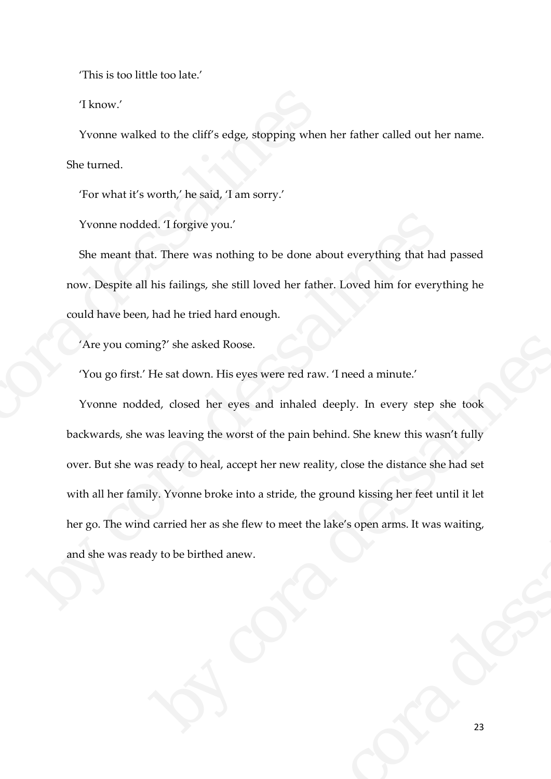'This is too little too late.'

'I know.'

Yvonne walked to the cliff's edge, stopping when her father called out her name. She turned.

'For what it's worth,' he said, 'I am sorry.'

Yvonne nodded. 'I forgive you.'

She meant that. There was nothing to be done about everything that had passed now. Despite all his failings, she still loved her father. Loved him for everything he could have been, had he tried hard enough.

'Are you coming?' she asked Roose.

'You go first.' He sat down. His eyes were red raw. 'I need a minute.'

Yvonne nodded, closed her eyes and inhaled deeply. In every step she took backwards, she was leaving the worst of the pain behind. She knew this wasn't fully over. But she was ready to heal, accept her new reality, close the distance she had set with all her family. Yvonne broke into a stride, the ground kissing her feet until it let her go. The wind carried her as she flew to meet the lake's open arms. It was waiting, and she was ready to be birthed anew. The state of the cliff's edge, stopping when<br>
She turned.<br>
Tor what it's worth,' he said, T am sorry.'<br>
Yvonne nodded. Tforgive you.'<br>
She meant that. There was nothing to be done abe<br>
now. Despite all his failings, she st Yvonne nodded. T forgive you.'<br>
She meant that. There was nothing to be done about everything that had prov. Despite all his failings, she still loved her father. Loved him for everyth could have been, had he tried hard en mg?' she asked Roose.<br>
He sat down. His eyes were red raw. T need a minute.'<br>
ed, closed her eyes and inhaled deeply. In every step she took<br>
was leaving the worst of the pain behind. She knew this wasn't fully<br>
steady to or the resultiv, close the distance she had set<br>tride, the ground kissing her feet until it let<br>o meet the lake's open arms. It was waiting,<br> $\begin{pmatrix} 1 & 0 \\ 0 & 1 \end{pmatrix}$